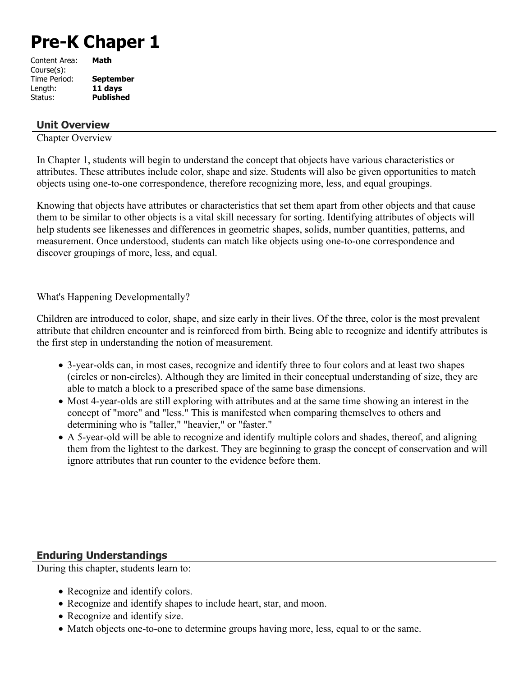# **Pre-K Chaper 1**

| Content Area: | Math             |
|---------------|------------------|
| Course(s):    |                  |
| Time Period:  | <b>September</b> |
| Length:       | 11 days          |
| Status:       | <b>Published</b> |
|               |                  |

#### **Unit Overview**

Chapter Overview

In Chapter 1, students will begin to understand the concept that objects have various characteristics or attributes. These attributes include color, shape and size. Students will also be given opportunities to match objects using one-to-one correspondence, therefore recognizing more, less, and equal groupings.

Knowing that objects have attributes or characteristics that set them apart from other objects and that cause them to be similar to other objects is a vital skill necessary for sorting. Identifying attributes of objects will help students see likenesses and differences in geometric shapes, solids, number quantities, patterns, and measurement. Once understood, students can match like objects using one-to-one correspondence and discover groupings of more, less, and equal.

What's Happening Developmentally?

Children are introduced to color, shape, and size early in their lives. Of the three, color is the most prevalent attribute that children encounter and is reinforced from birth. Being able to recognize and identify attributes is the first step in understanding the notion of measurement.

- 3-year-olds can, in most cases, recognize and identify three to four colors and at least two shapes (circles or non-circles). Although they are limited in their conceptual understanding of size, they are able to match a block to a prescribed space of the same base dimensions.
- Most 4-year-olds are still exploring with attributes and at the same time showing an interest in the concept of "more" and "less." This is manifested when comparing themselves to others and determining who is "taller," "heavier," or "faster."
- A 5-year-old will be able to recognize and identify multiple colors and shades, thereof, and aligning them from the lightest to the darkest. They are beginning to grasp the concept of conservation and will ignore attributes that run counter to the evidence before them.

#### **Enduring Understandings**

During this chapter, students learn to:

- Recognize and identify colors.
- Recognize and identify shapes to include heart, star, and moon.
- Recognize and identify size.
- Match objects one-to-one to determine groups having more, less, equal to or the same.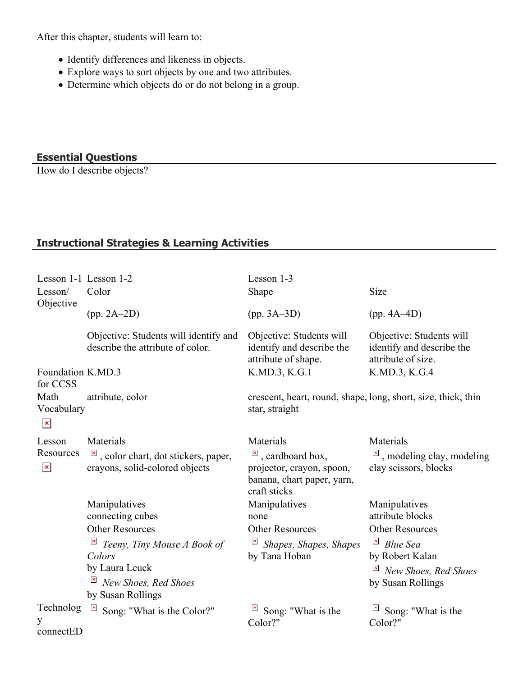After this chapter, students will learn to:

- Identify differences and likeness in objects.
- Explore ways to sort objects by one and two attributes.
- Determine which objects do or do not belong in a group.

### **Essential Questions**

How do I describe objects?

## **Instructional Strategies & Learning Activities**

| Lesson 1-1 Lesson 1-2                 |                                                                                      | Lesson 1-3                                                                                                  |                                                                             |
|---------------------------------------|--------------------------------------------------------------------------------------|-------------------------------------------------------------------------------------------------------------|-----------------------------------------------------------------------------|
| Lesson/<br>Objective                  | Color                                                                                | Shape                                                                                                       | Size                                                                        |
|                                       | $(pp. 2A-2D)$                                                                        | $(pp. 3A-3D)$                                                                                               | $(pp. 4A-4D)$                                                               |
|                                       | Objective: Students will identify and<br>describe the attribute of color.            | Objective: Students will<br>identify and describe the<br>attribute of shape.                                | Objective: Students will<br>identify and describe the<br>attribute of size. |
| Foundation K.MD.3<br>for CCSS         |                                                                                      | K.MD.3, K.G.1                                                                                               | K.MD.3, K.G.4                                                               |
| Math<br>Vocabulary<br>$\pmb{\times}$  | attribute, color                                                                     | crescent, heart, round, shape, long, short, size, thick, thin<br>star, straight                             |                                                                             |
| Lesson<br>Resources<br>$\pmb{\times}$ | Materials                                                                            | Materials                                                                                                   | Materials                                                                   |
|                                       | $\overline{a}$ , color chart, dot stickers, paper,<br>crayons, solid-colored objects | $\mathbf{x}$<br>, cardboard box,<br>projector, crayon, spoon,<br>banana, chart paper, yarn,<br>craft sticks | $\overline{a}$ , modeling clay, modeling<br>clay scissors, blocks           |
|                                       | Manipulatives                                                                        | Manipulatives                                                                                               | Manipulatives                                                               |
|                                       | connecting cubes                                                                     | none                                                                                                        | attribute blocks                                                            |
|                                       | <b>Other Resources</b>                                                               | <b>Other Resources</b>                                                                                      | <b>Other Resources</b><br>$\mathbf{x}$                                      |
|                                       | Teeny, Tiny Mouse A Book of<br>Colors                                                | Shapes, Shapes, Shapes<br>by Tana Hoban                                                                     | <b>Blue Sea</b><br>by Robert Kalan                                          |
|                                       | by Laura Leuck                                                                       |                                                                                                             | $\pmb{\times}$<br>New Shoes, Red Shoes                                      |
|                                       | New Shoes, Red Shoes<br>by Susan Rollings                                            |                                                                                                             | by Susan Rollings                                                           |
| Technolog<br>у<br>connectED           | $\pmb{\times}$<br>Song: "What is the Color?"                                         | Song: "What is the<br>Color?"                                                                               | Song: "What is the<br>Color?"                                               |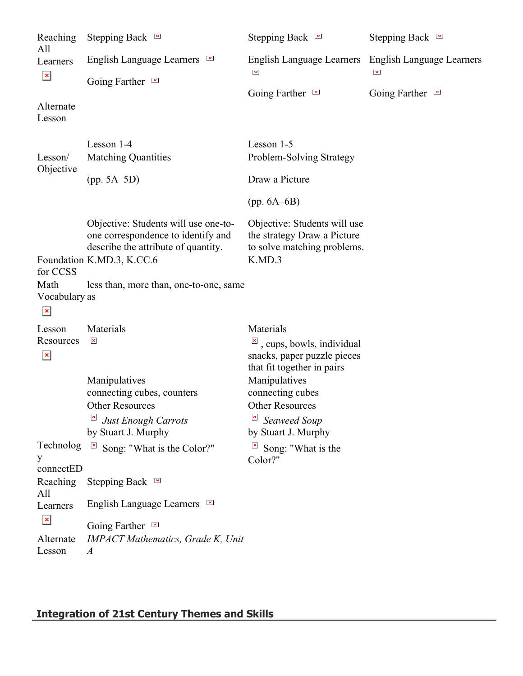| Reaching<br>All                         | Stepping Back $\blacksquare$                                                                                                                                                             | Stepping Back $\blacksquare$                                                                                                 | Stepping Back $\blacksquare$ |
|-----------------------------------------|------------------------------------------------------------------------------------------------------------------------------------------------------------------------------------------|------------------------------------------------------------------------------------------------------------------------------|------------------------------|
| Learners<br>$\mathbf{x}$                | English Language Learners $\blacksquare$<br>Going Farther $\blacksquare$                                                                                                                 | English Language Learners English Language Learners<br>$\mathbf{\times}$                                                     | $\pmb{\times}$               |
| Alternate<br>Lesson                     |                                                                                                                                                                                          | Going Farther $\blacksquare$                                                                                                 | Going Farther $\blacksquare$ |
| Lesson/<br>Objective                    | Lesson 1-4<br><b>Matching Quantities</b>                                                                                                                                                 | Lesson 1-5<br>Problem-Solving Strategy                                                                                       |                              |
|                                         | $(pp. 5A-5D)$                                                                                                                                                                            | Draw a Picture                                                                                                               |                              |
|                                         |                                                                                                                                                                                          | (pp. 6A–6B)                                                                                                                  |                              |
| for CCSS                                | Objective: Students will use one-to-<br>one correspondence to identify and<br>describe the attribute of quantity.<br>Foundation K.MD.3, K.CC.6<br>less than, more than, one-to-one, same | Objective: Students will use<br>the strategy Draw a Picture<br>to solve matching problems.<br>K.MD.3                         |                              |
| Math<br>Vocabulary as<br>$\pmb{\times}$ |                                                                                                                                                                                          |                                                                                                                              |                              |
| Lesson<br>Resources<br>$\mathbf{x}$     | Materials<br>$\mathbf{x}$                                                                                                                                                                | Materials<br>$\frac{ \mathbf{x} }{n}$ , cups, bowls, individual<br>snacks, paper puzzle pieces<br>that fit together in pairs |                              |
|                                         | Manipulatives<br>connecting cubes, counters<br>Other Resources<br>$\mathbf{x}$<br><b>Just Enough Carrots</b><br>by Stuart J. Murphy                                                      | Manipulatives<br>connecting cubes<br>Other Resources<br>Seaweed Soup<br>by Stuart J. Murphy                                  |                              |
| Technolog<br>y                          | $\pmb{\times}$<br>Song: "What is the Color?"                                                                                                                                             | Song: "What is the<br>Color?"                                                                                                |                              |
| connectED<br>Reaching<br>All            | Stepping Back $\blacksquare$                                                                                                                                                             |                                                                                                                              |                              |
| Learners<br>$\mathbf{x}$                | English Language Learners $\blacksquare$                                                                                                                                                 |                                                                                                                              |                              |
| Alternate<br>Lesson                     | Going Farther $\blacksquare$<br><b>IMPACT Mathematics, Grade K, Unit</b><br>$\boldsymbol{A}$                                                                                             |                                                                                                                              |                              |

# **Integration of 21st Century Themes and Skills**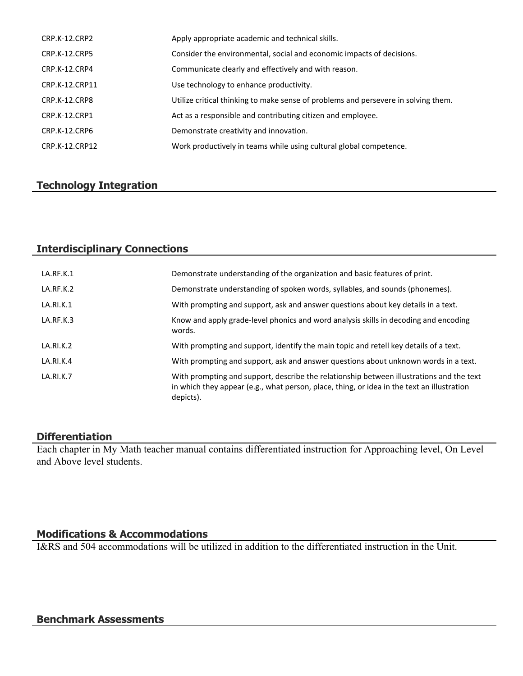| CRP.K-12.CRP2        | Apply appropriate academic and technical skills.                                   |
|----------------------|------------------------------------------------------------------------------------|
| <b>CRP.K-12.CRP5</b> | Consider the environmental, social and economic impacts of decisions.              |
| CRP.K-12.CRP4        | Communicate clearly and effectively and with reason.                               |
| CRP.K-12.CRP11       | Use technology to enhance productivity.                                            |
| CRP.K-12.CRP8        | Utilize critical thinking to make sense of problems and persevere in solving them. |
| CRP.K-12.CRP1        | Act as a responsible and contributing citizen and employee.                        |
| CRP.K-12.CRP6        | Demonstrate creativity and innovation.                                             |
| CRP.K-12.CRP12       | Work productively in teams while using cultural global competence.                 |

# **Technology Integration**

### **Interdisciplinary Connections**

| LA.RF.K.1 | Demonstrate understanding of the organization and basic features of print.                                                                                                                          |
|-----------|-----------------------------------------------------------------------------------------------------------------------------------------------------------------------------------------------------|
| LA.RF.K.2 | Demonstrate understanding of spoken words, syllables, and sounds (phonemes).                                                                                                                        |
| LA.RI.K.1 | With prompting and support, ask and answer questions about key details in a text.                                                                                                                   |
| LA.RF.K.3 | Know and apply grade-level phonics and word analysis skills in decoding and encoding<br>words.                                                                                                      |
| LA.RI.K.2 | With prompting and support, identify the main topic and retell key details of a text.                                                                                                               |
| LA.RI.K.4 | With prompting and support, ask and answer questions about unknown words in a text.                                                                                                                 |
| LA.RI.K.7 | With prompting and support, describe the relationship between illustrations and the text<br>in which they appear (e.g., what person, place, thing, or idea in the text an illustration<br>depicts). |

#### **Differentiation**

Each chapter in My Math teacher manual contains differentiated instruction for Approaching level, On Level and Above level students.

#### **Modifications & Accommodations**

I&RS and 504 accommodations will be utilized in addition to the differentiated instruction in the Unit.